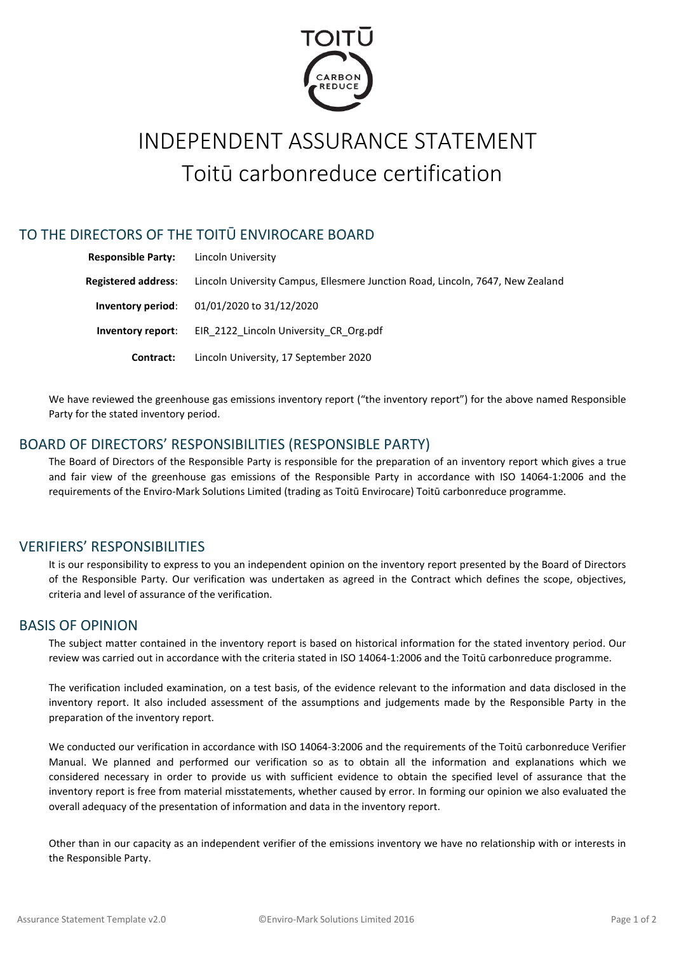

# INDEPENDENT ASSURANCE STATEMENT Toitū carbonreduce certification

## TO THE DIRECTORS OF THE TOITŪ ENVIROCARE BOARD

| <b>Responsible Party:</b>  | Lincoln University                                                             |  |  |
|----------------------------|--------------------------------------------------------------------------------|--|--|
| <b>Registered address:</b> | Lincoln University Campus, Ellesmere Junction Road, Lincoln, 7647, New Zealand |  |  |
| Inventory period:          | 01/01/2020 to 31/12/2020                                                       |  |  |
| Inventory report:          | EIR 2122 Lincoln University CR Org.pdf                                         |  |  |
| Contract:                  | Lincoln University, 17 September 2020                                          |  |  |

We have reviewed the greenhouse gas emissions inventory report ("the inventory report") for the above named Responsible Party for the stated inventory period.

## BOARD OF DIRECTORS' RESPONSIBILITIES (RESPONSIBLE PARTY)

The Board of Directors of the Responsible Party is responsible for the preparation of an inventory report which gives a true and fair view of the greenhouse gas emissions of the Responsible Party in accordance with ISO 14064-1:2006 and the requirements of the Enviro-Mark Solutions Limited (trading as Toitū Envirocare) Toitū carbonreduce programme.

## VERIFIERS' RESPONSIBILITIES

It is our responsibility to express to you an independent opinion on the inventory report presented by the Board of Directors of the Responsible Party. Our verification was undertaken as agreed in the Contract which defines the scope, objectives, criteria and level of assurance of the verification.

#### BASIS OF OPINION

The subject matter contained in the inventory report is based on historical information for the stated inventory period. Our review was carried out in accordance with the criteria stated in ISO 14064-1:2006 and the Toitū carbonreduce programme.

The verification included examination, on a test basis, of the evidence relevant to the information and data disclosed in the inventory report. It also included assessment of the assumptions and judgements made by the Responsible Party in the preparation of the inventory report.

We conducted our verification in accordance with ISO 14064-3:2006 and the requirements of the Toitū carbonreduce Verifier Manual. We planned and performed our verification so as to obtain all the information and explanations which we considered necessary in order to provide us with sufficient evidence to obtain the specified level of assurance that the inventory report is free from material misstatements, whether caused by error. In forming our opinion we also evaluated the overall adequacy of the presentation of information and data in the inventory report.

Other than in our capacity as an independent verifier of the emissions inventory we have no relationship with or interests in the Responsible Party.